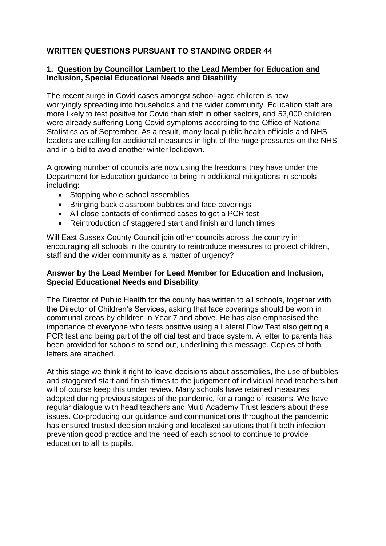# **WRITTEN QUESTIONS PURSUANT TO STANDING ORDER 44**

# **1. Question by Councillor Lambert to the Lead Member for Education and Inclusion, Special Educational Needs and Disability**

The recent surge in Covid cases amongst school-aged children is now worryingly spreading into households and the wider community. Education staff are more likely to test positive for Covid than staff in other sectors, and 53,000 children were already suffering Long Covid symptoms according to the Office of National Statistics as of September. As a result, many local public health officials and NHS leaders are calling for additional measures in light of the huge pressures on the NHS and in a bid to avoid another winter lockdown.

A growing number of councils are now using the freedoms they have under the Department for Education guidance to bring in additional mitigations in schools including:

- Stopping whole-school assemblies
- Bringing back classroom bubbles and face coverings
- All close contacts of confirmed cases to get a PCR test
- Reintroduction of staggered start and finish and lunch times

Will East Sussex County Council join other councils across the country in encouraging all schools in the country to reintroduce measures to protect children, staff and the wider community as a matter of urgency?

# **Answer by the Lead Member for Lead Member for Education and Inclusion, Special Educational Needs and Disability**

The Director of Public Health for the county has written to all schools, together with the Director of Children's Services, asking that face coverings should be worn in communal areas by children in Year 7 and above. He has also emphasised the importance of everyone who tests positive using a Lateral Flow Test also getting a PCR test and being part of the official test and trace system. A letter to parents has been provided for schools to send out, underlining this message. Copies of both letters are attached.

At this stage we think it right to leave decisions about assemblies, the use of bubbles and staggered start and finish times to the judgement of individual head teachers but will of course keep this under review. Many schools have retained measures adopted during previous stages of the pandemic, for a range of reasons. We have regular dialogue with head teachers and Multi Academy Trust leaders about these issues. Co-producing our guidance and communications throughout the pandemic has ensured trusted decision making and localised solutions that fit both infection prevention good practice and the need of each school to continue to provide education to all its pupils.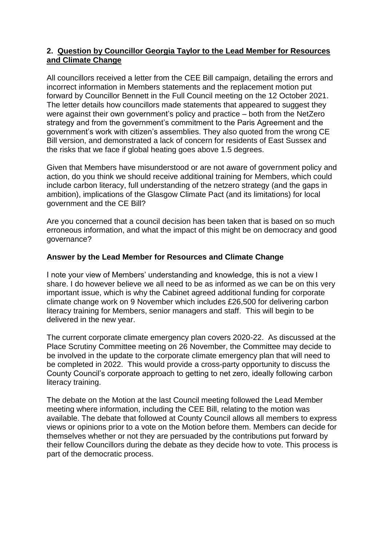## **2. Question by Councillor Georgia Taylor to the Lead Member for Resources and Climate Change**

All councillors received a letter from the CEE Bill campaign, detailing the errors and incorrect information in Members statements and the replacement motion put forward by Councillor Bennett in the Full Council meeting on the 12 October 2021. The letter details how councillors made statements that appeared to suggest they were against their own government's policy and practice – both from the NetZero strategy and from the government's commitment to the Paris Agreement and the government's work with citizen's assemblies. They also quoted from the wrong CE Bill version, and demonstrated a lack of concern for residents of East Sussex and the risks that we face if global heating goes above 1.5 degrees.

Given that Members have misunderstood or are not aware of government policy and action, do you think we should receive additional training for Members, which could include carbon literacy, full understanding of the netzero strategy (and the gaps in ambition), implications of the Glasgow Climate Pact (and its limitations) for local government and the CE Bill?

Are you concerned that a council decision has been taken that is based on so much erroneous information, and what the impact of this might be on democracy and good governance?

# **Answer by the Lead Member for Resources and Climate Change**

I note your view of Members' understanding and knowledge, this is not a view I share. I do however believe we all need to be as informed as we can be on this very important issue, which is why the Cabinet agreed additional funding for corporate climate change work on 9 November which includes £26,500 for delivering carbon literacy training for Members, senior managers and staff. This will begin to be delivered in the new year.

The current corporate climate emergency plan covers 2020-22. As discussed at the Place Scrutiny Committee meeting on 26 November, the Committee may decide to be involved in the update to the corporate climate emergency plan that will need to be completed in 2022. This would provide a cross-party opportunity to discuss the County Council's corporate approach to getting to net zero, ideally following carbon literacy training.

The debate on the Motion at the last Council meeting followed the Lead Member meeting where information, including the CEE Bill, relating to the motion was available. The debate that followed at County Council allows all members to express views or opinions prior to a vote on the Motion before them. Members can decide for themselves whether or not they are persuaded by the contributions put forward by their fellow Councillors during the debate as they decide how to vote. This process is part of the democratic process.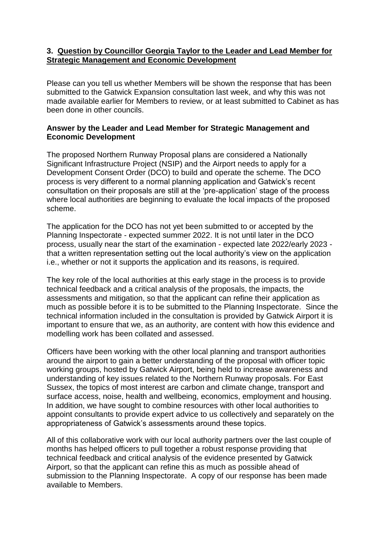### **3. Question by Councillor Georgia Taylor to the Leader and Lead Member for Strategic Management and Economic Development**

Please can you tell us whether Members will be shown the response that has been submitted to the Gatwick Expansion consultation last week, and why this was not made available earlier for Members to review, or at least submitted to Cabinet as has been done in other councils.

## **Answer by the Leader and Lead Member for Strategic Management and Economic Development**

The proposed Northern Runway Proposal plans are considered a Nationally Significant Infrastructure Project (NSIP) and the Airport needs to apply for a Development Consent Order (DCO) to build and operate the scheme. The DCO process is very different to a normal planning application and Gatwick's recent consultation on their proposals are still at the 'pre-application' stage of the process where local authorities are beginning to evaluate the local impacts of the proposed scheme.

The application for the DCO has not yet been submitted to or accepted by the Planning Inspectorate - expected summer 2022. It is not until later in the DCO process, usually near the start of the examination - expected late 2022/early 2023 that a written representation setting out the local authority's view on the application i.e., whether or not it supports the application and its reasons, is required.

The key role of the local authorities at this early stage in the process is to provide technical feedback and a critical analysis of the proposals, the impacts, the assessments and mitigation, so that the applicant can refine their application as much as possible before it is to be submitted to the Planning Inspectorate. Since the technical information included in the consultation is provided by Gatwick Airport it is important to ensure that we, as an authority, are content with how this evidence and modelling work has been collated and assessed.

Officers have been working with the other local planning and transport authorities around the airport to gain a better understanding of the proposal with officer topic working groups, hosted by Gatwick Airport, being held to increase awareness and understanding of key issues related to the Northern Runway proposals. For East Sussex, the topics of most interest are carbon and climate change, transport and surface access, noise, health and wellbeing, economics, employment and housing. In addition, we have sought to combine resources with other local authorities to appoint consultants to provide expert advice to us collectively and separately on the appropriateness of Gatwick's assessments around these topics.

All of this collaborative work with our local authority partners over the last couple of months has helped officers to pull together a robust response providing that technical feedback and critical analysis of the evidence presented by Gatwick Airport, so that the applicant can refine this as much as possible ahead of submission to the Planning Inspectorate. A copy of our response has been made available to Members.